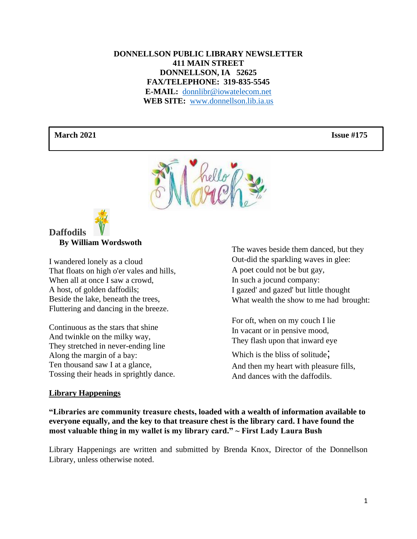#### **DONNELLSON PUBLIC LIBRARY NEWSLETTER 411 MAIN STREET DONNELLSON, IA 52625 FAX/TELEPHONE: 319-835-5545 E-MAIL:** [donnlibr@iowatelecom.net](mailto:donnlibr@iowatelecom.net) **WEB SITE:** [www.donnellson.lib.ia.us](http://www.donnellson.lib.ia.us/)

#### **March 2021 Issue #175**





 **By William Wordswoth**

I wandered lonely as a cloud That floats on high o'er vales and hills, When all at once I saw a crowd, A host, of golden daffodils; Beside the lake, beneath the trees, Fluttering and dancing in the breeze.

Continuous as the stars that shine And twinkle on the milky way, They stretched in never-ending line Along the margin of a bay: Ten thousand saw I at a glance, Tossing their heads in sprightly dance.

#### **Library Happenings**

The waves beside them danced, but they Out-did the sparkling waves in glee: A poet could not be but gay, In such a jocund company: I gazed' and gazed' but little thought What wealth the show to me had brought:

For oft, when on my couch I lie In vacant or in pensive mood, They flash upon that inward eye

Which is the bliss of solitude; And then my heart with pleasure fills, And dances with the daffodils.

**"Libraries are community treasure chests, loaded with a wealth of information available to everyone equally, and the key to that treasure chest is the library card. I have found the most valuable thing in my wallet is my library card." ~ First Lady Laura Bush**

Library Happenings are written and submitted by Brenda Knox, Director of the Donnellson Library, unless otherwise noted.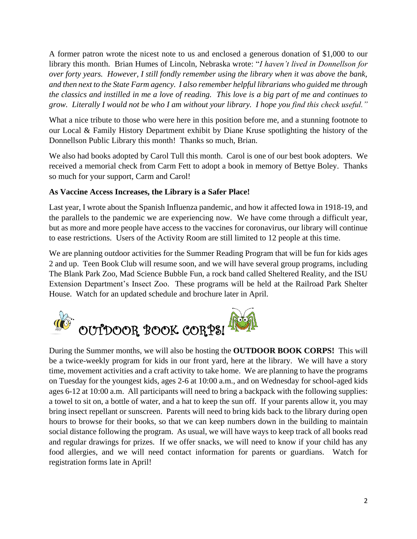A former patron wrote the nicest note to us and enclosed a generous donation of \$1,000 to our library this month. Brian Humes of Lincoln, Nebraska wrote: "*I haven't lived in Donnellson for over forty years. However, I still fondly remember using the library when it was above the bank, and then next to the State Farm agency. I also remember helpful librarians who guided me through the classics and instilled in me a love of reading. This love is a big part of me and continues to grow. Literally I would not be who I am without your library. I hope you find this check useful."*

What a nice tribute to those who were here in this position before me, and a stunning footnote to our Local & Family History Department exhibit by Diane Kruse spotlighting the history of the Donnellson Public Library this month! Thanks so much, Brian.

We also had books adopted by Carol Tull this month. Carol is one of our best book adopters. We received a memorial check from Carm Fett to adopt a book in memory of Bettye Boley. Thanks so much for your support, Carm and Carol!

## **As Vaccine Access Increases, the Library is a Safer Place!**

Last year, I wrote about the Spanish Influenza pandemic, and how it affected Iowa in 1918-19, and the parallels to the pandemic we are experiencing now. We have come through a difficult year, but as more and more people have access to the vaccines for coronavirus, our library will continue to ease restrictions. Users of the Activity Room are still limited to 12 people at this time.

We are planning outdoor activities for the Summer Reading Program that will be fun for kids ages 2 and up. Teen Book Club will resume soon, and we will have several group programs, including The Blank Park Zoo, Mad Science Bubble Fun, a rock band called Sheltered Reality, and the ISU Extension Department's Insect Zoo. These programs will be held at the Railroad Park Shelter House. Watch for an updated schedule and brochure later in April.



During the Summer months, we will also be hosting the **OUTDOOR BOOK CORPS!** This will be a twice-weekly program for kids in our front yard, here at the library. We will have a story time, movement activities and a craft activity to take home. We are planning to have the programs on Tuesday for the youngest kids, ages 2-6 at 10:00 a.m., and on Wednesday for school-aged kids ages 6-12 at 10:00 a.m. All participants will need to bring a backpack with the following supplies: a towel to sit on, a bottle of water, and a hat to keep the sun off. If your parents allow it, you may bring insect repellant or sunscreen. Parents will need to bring kids back to the library during open hours to browse for their books, so that we can keep numbers down in the building to maintain social distance following the program. As usual, we will have ways to keep track of all books read and regular drawings for prizes. If we offer snacks, we will need to know if your child has any food allergies, and we will need contact information for parents or guardians. Watch for registration forms late in April!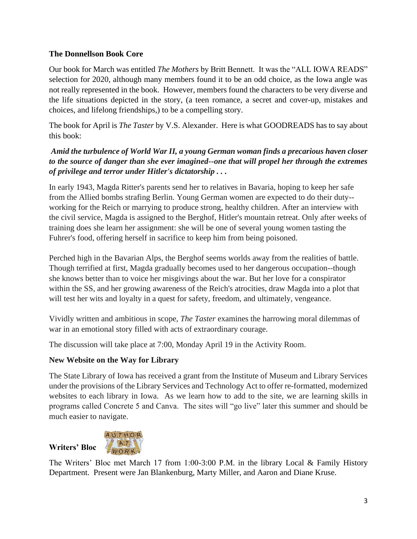## **The Donnellson Book Core**

Our book for March was entitled *The Mothers* by Britt Bennett. It was the "ALL IOWA READS" selection for 2020, although many members found it to be an odd choice, as the Iowa angle was not really represented in the book. However, members found the characters to be very diverse and the life situations depicted in the story, (a teen romance, a secret and cover-up, mistakes and choices, and lifelong friendships,) to be a compelling story.

The book for April is *The Taster* by V.S. Alexander. Here is what GOODREADS has to say about this book:

## *Amid the turbulence of World War II, a young German woman finds a precarious haven closer to the source of danger than she ever imagined--one that will propel her through the extremes of privilege and terror under Hitler's dictatorship . . .*

In early 1943, Magda Ritter's parents send her to relatives in Bavaria, hoping to keep her safe from the Allied bombs strafing Berlin. Young German women are expected to do their duty- working for the Reich or marrying to produce strong, healthy children. After an interview with the civil service, Magda is assigned to the Berghof, Hitler's mountain retreat. Only after weeks of training does she learn her assignment: she will be one of several young women tasting the Fuhrer's food, offering herself in sacrifice to keep him from being poisoned.

Perched high in the Bavarian Alps, the Berghof seems worlds away from the realities of battle. Though terrified at first, Magda gradually becomes used to her dangerous occupation--though she knows better than to voice her misgivings about the war. But her love for a conspirator within the SS, and her growing awareness of the Reich's atrocities, draw Magda into a plot that will test her wits and loyalty in a quest for safety, freedom, and ultimately, vengeance.

Vividly written and ambitious in scope, *The Taster* examines the harrowing moral dilemmas of war in an emotional story filled with acts of extraordinary courage.

The discussion will take place at 7:00, Monday April 19 in the Activity Room.

## **New Website on the Way for Library**

The State Library of Iowa has received a grant from the Institute of Museum and Library Services under the provisions of the Library Services and Technology Act to offer re-formatted, modernized websites to each library in Iowa. As we learn how to add to the site, we are learning skills in programs called Concrete 5 and Canva. The sites will "go live" later this summer and should be much easier to navigate.



**Writers' Bloc**

The Writers' Bloc met March 17 from 1:00-3:00 P.M. in the library Local & Family History Department. Present were Jan Blankenburg, Marty Miller, and Aaron and Diane Kruse.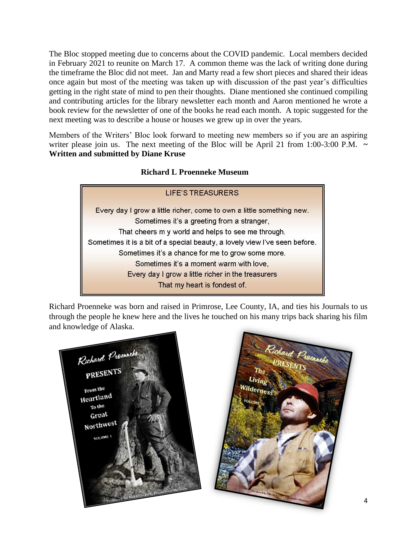The Bloc stopped meeting due to concerns about the COVID pandemic. Local members decided in February 2021 to reunite on March 17. A common theme was the lack of writing done during the timeframe the Bloc did not meet. Jan and Marty read a few short pieces and shared their ideas once again but most of the meeting was taken up with discussion of the past year's difficulties getting in the right state of mind to pen their thoughts. Diane mentioned she continued compiling and contributing articles for the library newsletter each month and Aaron mentioned he wrote a book review for the newsletter of one of the books he read each month. A topic suggested for the next meeting was to describe a house or houses we grew up in over the years.

Members of the Writers' Bloc look forward to meeting new members so if you are an aspiring writer please join us. The next meeting of the Bloc will be April 21 from 1:00-3:00 P.M.  $\sim$ **Written and submitted by Diane Kruse**

## **Richard L Proenneke Museum**



Richard Proenneke was born and raised in Primrose, Lee County, IA, and ties his Journals to us through the people he knew here and the lives he touched on his many trips back sharing his film and knowledge of Alaska.



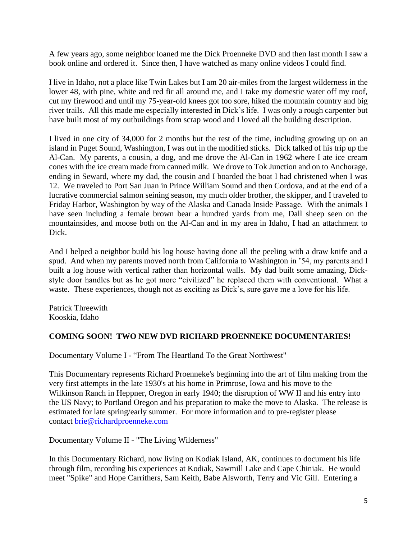A few years ago, some neighbor loaned me the Dick Proenneke DVD and then last month I saw a book online and ordered it. Since then, I have watched as many online videos I could find.

I live in Idaho, not a place like Twin Lakes but I am 20 air-miles from the largest wilderness in the lower 48, with pine, white and red fir all around me, and I take my domestic water off my roof, cut my firewood and until my 75-year-old knees got too sore, hiked the mountain country and big river trails. All this made me especially interested in Dick's life. I was only a rough carpenter but have built most of my outbuildings from scrap wood and I loved all the building description.

I lived in one city of 34,000 for 2 months but the rest of the time, including growing up on an island in Puget Sound, Washington, I was out in the modified sticks. Dick talked of his trip up the Al-Can. My parents, a cousin, a dog, and me drove the Al-Can in 1962 where I ate ice cream cones with the ice cream made from canned milk. We drove to Tok Junction and on to Anchorage, ending in Seward, where my dad, the cousin and I boarded the boat I had christened when I was 12. We traveled to Port San Juan in Prince William Sound and then Cordova, and at the end of a lucrative commercial salmon seining season, my much older brother, the skipper, and I traveled to Friday Harbor, Washington by way of the Alaska and Canada Inside Passage. With the animals I have seen including a female brown bear a hundred yards from me, Dall sheep seen on the mountainsides, and moose both on the Al-Can and in my area in Idaho, I had an attachment to Dick.

And I helped a neighbor build his log house having done all the peeling with a draw knife and a spud. And when my parents moved north from California to Washington in '54, my parents and I built a log house with vertical rather than horizontal walls. My dad built some amazing, Dickstyle door handles but as he got more "civilized" he replaced them with conventional. What a waste. These experiences, though not as exciting as Dick's, sure gave me a love for his life.

Patrick Threewith Kooskia, Idaho

#### **COMING SOON! TWO NEW DVD RICHARD PROENNEKE DOCUMENTARIES!**

Documentary Volume I - "From The Heartland To the Great Northwest"

This Documentary represents Richard Proenneke's beginning into the art of film making from the very first attempts in the late 1930's at his home in Primrose, Iowa and his move to the Wilkinson Ranch in Heppner, Oregon in early 1940; the disruption of WW II and his entry into the US Navy; to Portland Oregon and his preparation to make the move to Alaska. The release is estimated for late spring/early summer. For more information and to pre-register please contact [brie@richardproenneke.com](mailto:brie@richardproenneke.com)

Documentary Volume II - "The Living Wilderness"

In this Documentary Richard, now living on Kodiak Island, AK, continues to document his life through film, recording his experiences at Kodiak, Sawmill Lake and Cape Chiniak. He would meet "Spike" and Hope Carrithers, Sam Keith, Babe Alsworth, Terry and Vic Gill. Entering a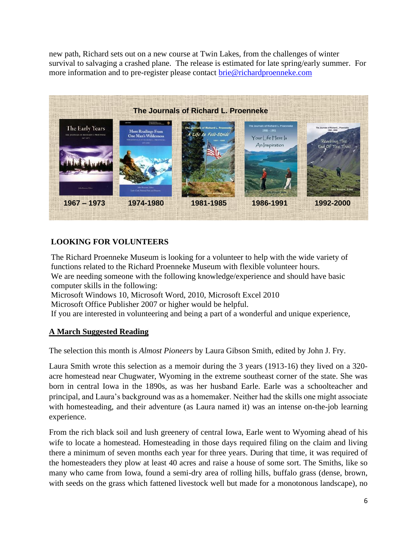new path, Richard sets out on a new course at Twin Lakes, from the challenges of winter survival to salvaging a crashed plane. The release is estimated for late spring/early summer. For more information and to pre-register please contact [brie@richardproenneke.com](mailto:brie@richardproenneke.com)



# **LOOKING FOR VOLUNTEERS**

 Microsoft Windows 10, Microsoft Word, 2010, Microsoft Excel 2010 Microsoft Office Publisher 2007 or higher would be helpful. The Richard Proenneke Museum is looking for a volunteer to help with the wide variety of functions related to the Richard Proenneke Museum with flexible volunteer hours. We are needing someone with the following knowledge/experience and should have basic computer skills in the following:

If you are interested in volunteering and being a part of a wonderful and unique experience,

# **A March Suggested Reading**

The selection this month is *Almost Pioneers* by Laura Gibson Smith, edited by John J. Fry.

Laura Smith wrote this selection as a memoir during the 3 years (1913-16) they lived on a 320 acre homestead near Chugwater, Wyoming in the extreme southeast corner of the state. She was born in central Iowa in the 1890s, as was her husband Earle. Earle was a schoolteacher and principal, and Laura's background was as a homemaker. Neither had the skills one might associate with homesteading, and their adventure (as Laura named it) was an intense on-the-job learning experience.

From the rich black soil and lush greenery of central Iowa, Earle went to Wyoming ahead of his wife to locate a homestead. Homesteading in those days required filing on the claim and living there a minimum of seven months each year for three years. During that time, it was required of the homesteaders they plow at least 40 acres and raise a house of some sort. The Smiths, like so many who came from Iowa, found a semi-dry area of rolling hills, buffalo grass (dense, brown, with seeds on the grass which fattened livestock well but made for a monotonous landscape), no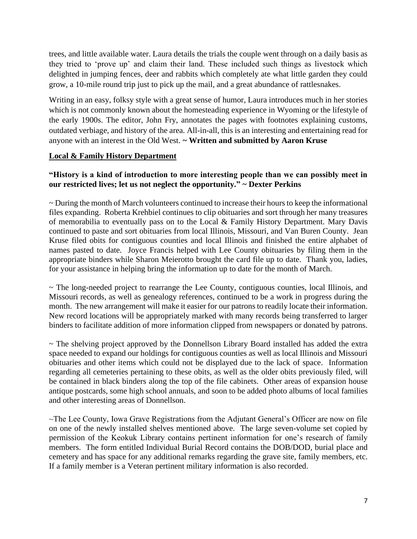trees, and little available water. Laura details the trials the couple went through on a daily basis as they tried to 'prove up' and claim their land. These included such things as livestock which delighted in jumping fences, deer and rabbits which completely ate what little garden they could grow, a 10-mile round trip just to pick up the mail, and a great abundance of rattlesnakes.

Writing in an easy, folksy style with a great sense of humor, Laura introduces much in her stories which is not commonly known about the homesteading experience in Wyoming or the lifestyle of the early 1900s. The editor, John Fry, annotates the pages with footnotes explaining customs, outdated verbiage, and history of the area. All-in-all, this is an interesting and entertaining read for anyone with an interest in the Old West. **~ Written and submitted by Aaron Kruse**

#### **Local & Family History Department**

#### **"History is a kind of introduction to more interesting people than we can possibly meet in our restricted lives; let us not neglect the opportunity." ~ Dexter Perkins**

~ During the month of March volunteers continued to increase their hours to keep the informational files expanding. Roberta Krehbiel continues to clip obituaries and sort through her many treasures of memorabilia to eventually pass on to the Local & Family History Department. Mary Davis continued to paste and sort obituaries from local Illinois, Missouri, and Van Buren County. Jean Kruse filed obits for contiguous counties and local Illinois and finished the entire alphabet of names pasted to date. Joyce Francis helped with Lee County obituaries by filing them in the appropriate binders while Sharon Meierotto brought the card file up to date. Thank you, ladies, for your assistance in helping bring the information up to date for the month of March.

~ The long-needed project to rearrange the Lee County, contiguous counties, local Illinois, and Missouri records, as well as genealogy references, continued to be a work in progress during the month. The new arrangement will make it easier for our patrons to readily locate their information. New record locations will be appropriately marked with many records being transferred to larger binders to facilitate addition of more information clipped from newspapers or donated by patrons.

~ The shelving project approved by the Donnellson Library Board installed has added the extra space needed to expand our holdings for contiguous counties as well as local Illinois and Missouri obituaries and other items which could not be displayed due to the lack of space. Information regarding all cemeteries pertaining to these obits, as well as the older obits previously filed, will be contained in black binders along the top of the file cabinets. Other areas of expansion house antique postcards, some high school annuals, and soon to be added photo albums of local families and other interesting areas of Donnellson.

 $\sim$ The Lee County, Iowa Grave Registrations from the Adjutant General's Officer are now on file on one of the newly installed shelves mentioned above. The large seven-volume set copied by permission of the Keokuk Library contains pertinent information for one's research of family members. The form entitled Individual Burial Record contains the DOB/DOD, burial place and cemetery and has space for any additional remarks regarding the grave site, family members, etc. If a family member is a Veteran pertinent military information is also recorded.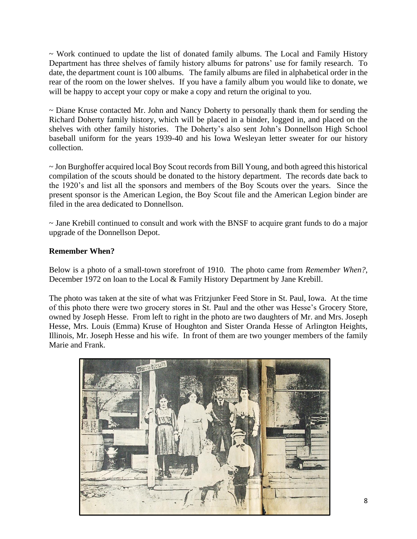$\sim$  Work continued to update the list of donated family albums. The Local and Family History Department has three shelves of family history albums for patrons' use for family research. To date, the department count is 100 albums. The family albums are filed in alphabetical order in the rear of the room on the lower shelves. If you have a family album you would like to donate, we will be happy to accept your copy or make a copy and return the original to you.

~ Diane Kruse contacted Mr. John and Nancy Doherty to personally thank them for sending the Richard Doherty family history, which will be placed in a binder, logged in, and placed on the shelves with other family histories. The Doherty's also sent John's Donnellson High School baseball uniform for the years 1939-40 and his Iowa Wesleyan letter sweater for our history collection.

~ Jon Burghoffer acquired local Boy Scout records from Bill Young, and both agreed this historical compilation of the scouts should be donated to the history department. The records date back to the 1920's and list all the sponsors and members of the Boy Scouts over the years. Since the present sponsor is the American Legion, the Boy Scout file and the American Legion binder are filed in the area dedicated to Donnellson.

~ Jane Krebill continued to consult and work with the BNSF to acquire grant funds to do a major upgrade of the Donnellson Depot.

## **Remember When?**

Below is a photo of a small-town storefront of 1910. The photo came from *Remember When?*, December 1972 on loan to the Local & Family History Department by Jane Krebill.

The photo was taken at the site of what was Fritzjunker Feed Store in St. Paul, Iowa. At the time of this photo there were two grocery stores in St. Paul and the other was Hesse's Grocery Store, owned by Joseph Hesse. From left to right in the photo are two daughters of Mr. and Mrs. Joseph Hesse, Mrs. Louis (Emma) Kruse of Houghton and Sister Oranda Hesse of Arlington Heights, Illinois, Mr. Joseph Hesse and his wife. In front of them are two younger members of the family Marie and Frank.

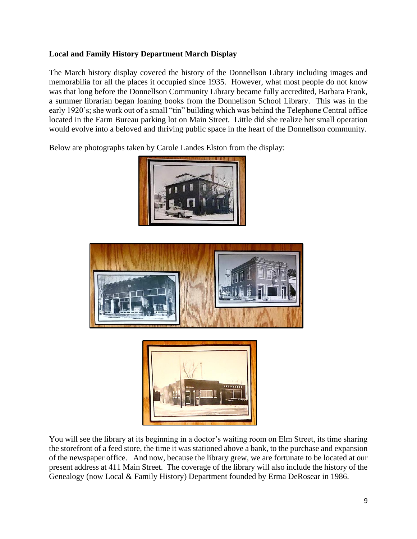## **Local and Family History Department March Display**

The March history display covered the history of the Donnellson Library including images and memorabilia for all the places it occupied since 1935. However, what most people do not know was that long before the Donnellson Community Library became fully accredited, Barbara Frank, a summer librarian began loaning books from the Donnellson School Library. This was in the early 1920's; she work out of a small "tin" building which was behind the Telephone Central office located in the Farm Bureau parking lot on Main Street. Little did she realize her small operation would evolve into a beloved and thriving public space in the heart of the Donnellson community.

Below are photographs taken by Carole Landes Elston from the display:







You will see the library at its beginning in a doctor's waiting room on Elm Street, its time sharing the storefront of a feed store, the time it was stationed above a bank, to the purchase and expansion of the newspaper office. And now, because the library grew, we are fortunate to be located at our present address at 411 Main Street. The coverage of the library will also include the history of the Genealogy (now Local & Family History) Department founded by Erma DeRosear in 1986.